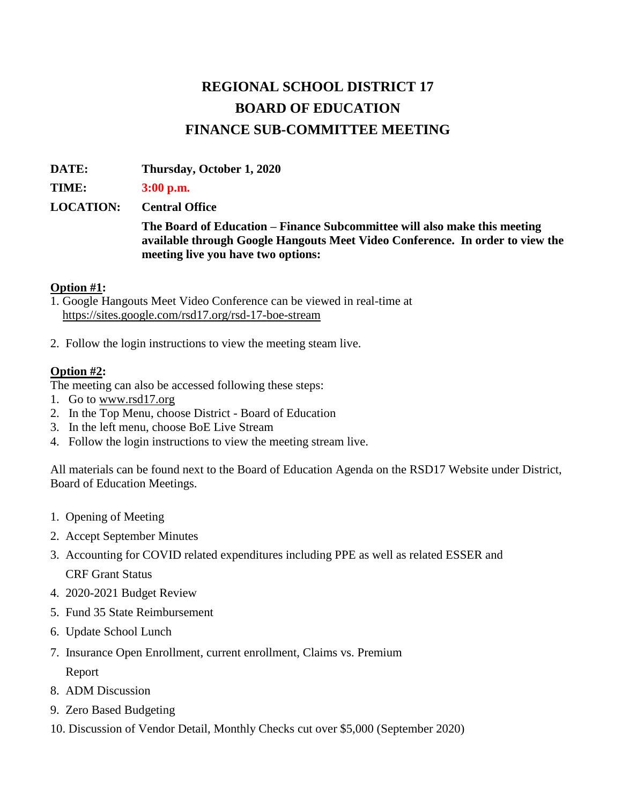## **REGIONAL SCHOOL DISTRICT 17 BOARD OF EDUCATION FINANCE SUB-COMMITTEE MEETING**

**DATE: Thursday, October 1, 2020** 

**TIME: 3:00 p.m.**

**LOCATION: Central Office**

**The Board of Education – Finance Subcommittee will also make this meeting available through Google Hangouts Meet Video Conference. In order to view the meeting live you have two options:** 

## **Option #1:**

- 1. Google Hangouts Meet Video Conference can be viewed in real-time at <https://sites.google.com/rsd17.org/rsd-17-boe-stream>
- 2. Follow the login instructions to view the meeting steam live.

## **Option #2:**

The meeting can also be accessed following these steps:

- 1. Go t[o](http://www.rsd17.org/) [www.rsd17.org](http://www.rsd17.org/)
- 2. In the Top Menu, choose District Board of Education
- 3. In the left menu, choose BoE Live Stream
- 4. Follow the login instructions to view the meeting stream live.

All materials can be found next to the Board of Education Agenda on the RSD17 Website under District, Board of Education Meetings.

- 1. Opening of Meeting
- 2. Accept September Minutes
- 3. Accounting for COVID related expenditures including PPE as well as related ESSER and CRF Grant Status
- 4. 2020-2021 Budget Review
- 5. Fund 35 State Reimbursement
- 6. Update School Lunch
- 7. Insurance Open Enrollment, current enrollment, Claims vs. Premium Report
- 8. ADM Discussion
- 9. Zero Based Budgeting
- 10. Discussion of Vendor Detail, Monthly Checks cut over \$5,000 (September 2020)